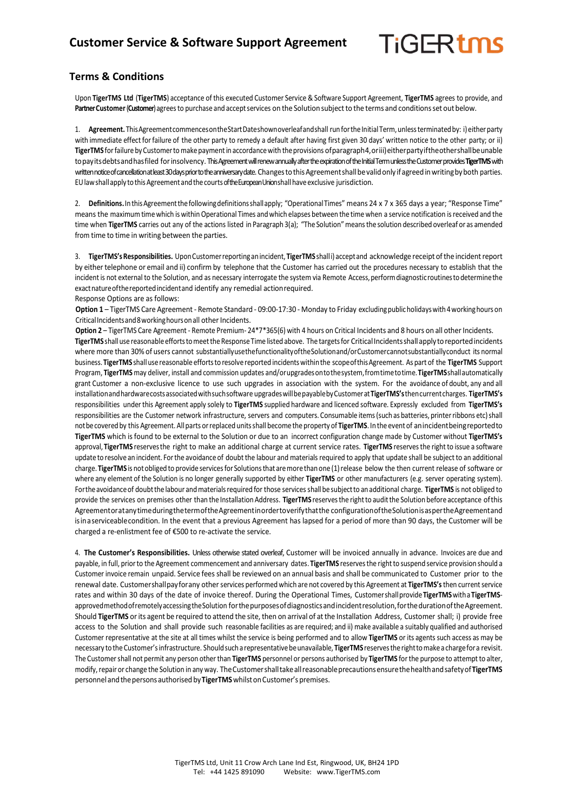## **TiGERtms**

## **Terms & Conditions**

Upon **TigerTMS Ltd** (**TigerTMS**) acceptance of this executed Customer Service & Software Support Agreement, **TigerTMS** agrees to provide, and Partner Customer (Customer) agrees to purchase and accept services on the Solution subject to the terms and conditions set out below.

1. Agreement. This Agreement commences on the Start Dateshown overleafandshall run for the Initial Term, unless terminated by: i) either party with immediate effect forfailure of the other party to remedy a default after having first given 30 days' written notice to the other party; or ii) TigerTMS for failure by Customer to make payment in accordance with the provisions of paragraph4, oriii) either party if the other shall be unable topayitsdebtsandhasfiled forinsolvency. This Agreement will renew annually after the expiration of the Initial Term unless the Customer provides **TigerTMS**with written notice of cancellation at least 30 days prior to the anniversary date. Changes to this Agreement shall be valid only if agreed in writing by both parties. EU law shall apply to this Agreement and the courts of the European Union shall have exclusive jurisdiction.

2. Definitions. In this Agreement the following definitions shall apply; "Operational Times" means 24 x 7 x 365 days a year; "Response Time" means the maximum timewhich is withinOperational Times andwhich elapses between the time when a service notification isreceived and the time when TigerTMS carries out any of the actions listed in Paragraph 3(a); "The Solution" means the solution described overleaf or as amended from time to time in writing between the parties.

3. **TigerTMS'sResponsibilities.** UponCustomerreportinganincident, **TigerTMS** shalli) acceptand acknowledge receipt ofthe incidentreport by either telephone or email and ii) confirm by telephone that the Customer has carried out the procedures necessary to establish that the incident is not external to the Solution, and as necessary interrogate the system via Remote Access, perform diagnostic routines to determine the exactnatureofthereportedincidentand identify any remedial actionrequired. Response Options are as follows:

**Option 1** – TigerTMS Care Agreement - Remote Standard - 09:00-17:30 - Monday to Friday excludingpublicholidayswith4workinghours on Critical Incidents and 8 working hours on all other Incidents.

Option 2 – TigerTMS Care Agreement - Remote Premium- 24\*7\*365(6) with 4 hours on Critical Incidents and 8 hours on all other Incidents. **TigerTMS** shallusereasonableeffortstomeetthe ResponseTime listed above. The targetsfor CriticalIncidentsshallapply toreportedincidents where more than 30% of users cannot substantiallyusethefunctionalityoftheSolutionand/orCustomercannotsubstantiallyconduct its normal business. **TigerTMS** shallusereasonable effortsto resolvereported incidentswithinthe scopeofthisAgreement. As part of the **TigerTMS** Support Program, **TigerTMS** may deliver, install and commission updates and/orupgradesontothesystem,fromtimetotime.**TigerTMS**shallautomatically grant Customer a non-exclusive licence to use such upgrades in association with the system. For the avoidance of doubt, any and all installationandhardwarecostsassociatedwithsuchsoftware upgradeswillbepayablebyCustomerat**TigerTMS's**thencurrentcharges. **TigerTMS's** responsibilities under this Agreement apply solely to **TigerTMS** supplied hardware and licenced software. Expressly excluded from **TigerTMS's** responsibilities are the Customer network infrastructure, servers and computers. Consumable items(such as batteries, printerribbons etc)shall notbecoveredby this Agreement. Allparts orreplaced unitsshall become the property of **TigerTMS**. In the eventof anincidentbeingreportedto **TigerTMS** which isfound to be external to the Solution or due to an incorrect configuration change made by Customer without **TigerTMS's** approval, **TigerTMS** reservesthe right to make an additional charge at current service rates. **TigerTMS** reservesthe right to issue a software update to resolve an incident. Forthe avoidance of doubt the labour and materials required to apply that update shall be subject to an additional charge. TigerTMS is not obliged to provide services for Solutions that are more than one (1) release below the then current release of software or where any element of the Solution is no longer generally supported by either **TigerTMS** or other manufacturers (e.g. server operating system). For the avoidance of doubt the labour and materials required for those services shall be subject to an additional charge. TigerTMS is not obliged to provide the services on premises other than the Installation Address. **TigerTMS** reservesthe rightto auditthe Solution before acceptance ofthis AgreementoratanytimeduringthetermoftheAgreementinordertoverifythatthe configurationoftheSolutionisaspertheAgreementand isinaserviceablecondition. In the event that a previous Agreement has lapsed for a period of more than 90 days, the Customer will be charged a re-enlistment fee of €500 to re-activate the service.

4. **The Customer's Responsibilities.** Unless otherwise stated overleaf, Customer will be invoiced annually in advance. Invoices are due and payable, in full, priorto the Agreement commencement and anniversary dates. **TigerTMS** reservesthe rightto suspend service provision should a Customer invoice remain unpaid. Service feesshall be reviewed on an annual basis and shall be communicated to Customer prior to the renewal date. Customershallpayforany other services performed which are not covered by this Agreement at **TigerTMS's**then currentservice rates and within 30 days of the date of invoice thereof. During the Operational Times, Customershallprovide**TigerTMS**witha **TigerTMS**approved method of remotely accessing the Solution for the purposes of diagnostics and incident resolution, for the duration of the Agreement. Should **TigerTMS** or its agent be required to attend the site, then on arrival of atthe Installation Address, Customer shall; i) provide free access to the Solution and shall provide such reasonable facilities as are required; and ii) make available a suitably qualified and authorised Customer representative at the site at all times whilst the service is being performed and to allow **TigerTMS** or its agents such access as may be necessary to the Customer's infrastructure. Should such a representative be unavailable, TigerTMS reserves the right to make a charge for a revisit. The Customer shall not permit any person other than TigerTMS personnel or persons authorised by TigerTMS for the purpose to attempt to alter, modify, repair or change the Solution in any way. The Customer shall take all reasonable precautions ensure the health and safety of TigerTMS personnel and the persons authorised by TigerTMS whilst on Customer's premises.